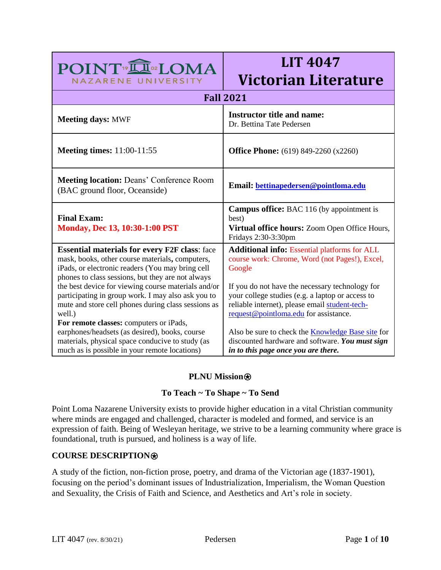| POINT <sup>19</sup> III <sup>02</sup> LOMA                                                                                                                                                                                                                                                                                                                                           | LIT 4047                                                                                                                                                                                                                                                                 |  |
|--------------------------------------------------------------------------------------------------------------------------------------------------------------------------------------------------------------------------------------------------------------------------------------------------------------------------------------------------------------------------------------|--------------------------------------------------------------------------------------------------------------------------------------------------------------------------------------------------------------------------------------------------------------------------|--|
| NAZARENE UNIVERSITY                                                                                                                                                                                                                                                                                                                                                                  | <b>Victorian Literature</b>                                                                                                                                                                                                                                              |  |
| <b>Fall 2021</b>                                                                                                                                                                                                                                                                                                                                                                     |                                                                                                                                                                                                                                                                          |  |
| <b>Meeting days: MWF</b>                                                                                                                                                                                                                                                                                                                                                             | <b>Instructor title and name:</b><br>Dr. Bettina Tate Pedersen                                                                                                                                                                                                           |  |
| <b>Meeting times:</b> 11:00-11:55                                                                                                                                                                                                                                                                                                                                                    | <b>Office Phone:</b> (619) 849-2260 (x2260)                                                                                                                                                                                                                              |  |
| <b>Meeting location: Deans' Conference Room</b><br>(BAC ground floor, Oceanside)                                                                                                                                                                                                                                                                                                     | Email: bettinapedersen@pointloma.edu                                                                                                                                                                                                                                     |  |
| <b>Final Exam:</b><br><b>Monday, Dec 13, 10:30-1:00 PST</b>                                                                                                                                                                                                                                                                                                                          | <b>Campus office:</b> BAC 116 (by appointment is<br>best)<br>Virtual office hours: Zoom Open Office Hours,<br>Fridays 2:30-3:30pm                                                                                                                                        |  |
| <b>Essential materials for every F2F class:</b> face<br>mask, books, other course materials, computers,<br>iPads, or electronic readers (You may bring cell<br>phones to class sessions, but they are not always<br>the best device for viewing course materials and/or<br>participating in group work. I may also ask you to<br>mute and store cell phones during class sessions as | <b>Additional info: Essential platforms for ALL</b><br>course work: Chrome, Word (not Pages!), Excel,<br>Google<br>If you do not have the necessary technology for<br>your college studies (e.g. a laptop or access to<br>reliable internet), please email student-tech- |  |
| well.)<br>For remote classes: computers or iPads,<br>earphones/headsets (as desired), books, course<br>materials, physical space conducive to study (as<br>much as is possible in your remote locations)                                                                                                                                                                             | request@pointloma.edu for assistance.<br>Also be sure to check the <b>Knowledge Base site</b> for<br>discounted hardware and software. You must sign<br>in to this page once you are there.                                                                              |  |

**LIT 4047** 

# **PLNU Mission**<sup></sup>

## **To Teach ~ To Shape ~ To Send**

Point Loma Nazarene University exists to provide higher education in a vital Christian community where minds are engaged and challenged, character is modeled and formed, and service is an expression of faith. Being of Wesleyan heritage, we strive to be a learning community where grace is foundational, truth is pursued, and holiness is a way of life.

## **COURSE DESCRIPTION**⍟

A study of the fiction, non-fiction prose, poetry, and drama of the Victorian age (1837-1901), focusing on the period's dominant issues of Industrialization, Imperialism, the Woman Question and Sexuality, the Crisis of Faith and Science, and Aesthetics and Art's role in society.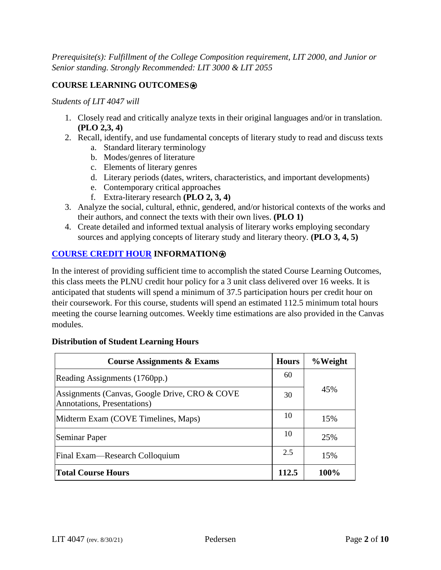*Prerequisite(s): Fulfillment of the College Composition requirement, LIT 2000, and Junior or Senior standing. Strongly Recommended: LIT 3000 & LIT 2055*

# **COURSE LEARNING OUTCOMES**⍟

*Students of LIT 4047 will*

- 1. Closely read and critically analyze texts in their original languages and/or in translation. **(PLO 2,3, 4)**
- 2. Recall, identify, and use fundamental concepts of literary study to read and discuss texts
	- a. Standard literary terminology
	- b. Modes/genres of literature
	- c. Elements of literary genres
	- d. Literary periods (dates, writers, characteristics, and important developments)
	- e. Contemporary critical approaches
	- f. Extra-literary research **(PLO 2, 3, 4)**
- 3. Analyze the social, cultural, ethnic, gendered, and/or historical contexts of the works and their authors, and connect the texts with their own lives. **(PLO 1)**
- 4. Create detailed and informed textual analysis of literary works employing secondary sources and applying concepts of literary study and literary theory. **(PLO 3, 4, 5)**

## **[COURSE CREDIT HOUR](https://catalog.pointloma.edu/content.php?catoid=52&navoid=2919#Credit_Hour_Definition) INFORMATION**⍟

In the interest of providing sufficient time to accomplish the stated Course Learning Outcomes, this class meets the PLNU credit hour policy for a 3 unit class delivered over 16 weeks. It is anticipated that students will spend a minimum of 37.5 participation hours per credit hour on their coursework. For this course, students will spend an estimated 112.5 minimum total hours meeting the course learning outcomes. Weekly time estimations are also provided in the Canvas modules.

#### **Distribution of Student Learning Hours**

| <b>Course Assignments &amp; Exams</b>                                        | <b>Hours</b> | %Weight |
|------------------------------------------------------------------------------|--------------|---------|
| Reading Assignments (1760pp.)                                                | 60           |         |
| Assignments (Canvas, Google Drive, CRO & COVE<br>Annotations, Presentations) | 30           | 45%     |
| Midterm Exam (COVE Timelines, Maps)                                          | 10           | 15%     |
| Seminar Paper                                                                | 10           | 25%     |
| Final Exam—Research Colloquium                                               | 2.5          | 15%     |
| <b>Total Course Hours</b>                                                    | 112.5        | 100%    |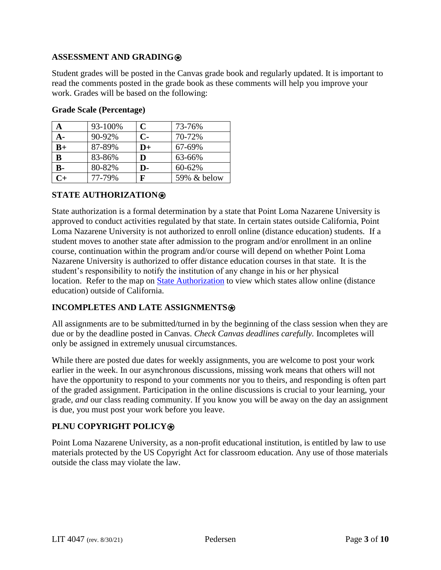## **ASSESSMENT AND GRADING**⍟

Student grades will be posted in the Canvas grade book and regularly updated. It is important to read the comments posted in the grade book as these comments will help you improve your work. Grades will be based on the following:

| A    | 93-100% | $\mathbf C$ | 73-76%      |
|------|---------|-------------|-------------|
| А-   | 90-92%  | $C-$        | 70-72%      |
| $B+$ | 87-89%  | $D+$        | 67-69%      |
| B    | 83-86%  | D           | 63-66%      |
| $B-$ | 80-82%  | D-          | 60-62%      |
| $C+$ | 77-79%  | F           | 59% & below |

#### **Grade Scale (Percentage)**

### **STATE AUTHORIZATION**⍟

State authorization is a formal determination by a state that Point Loma Nazarene University is approved to conduct activities regulated by that state. In certain states outside California, Point Loma Nazarene University is not authorized to enroll online (distance education) students. If a student moves to another state after admission to the program and/or enrollment in an online course, continuation within the program and/or course will depend on whether Point Loma Nazarene University is authorized to offer distance education courses in that state. It is the student's responsibility to notify the institution of any change in his or her physical location. Refer to the map on [State Authorization](https://www.pointloma.edu/offices/office-institutional-effectiveness-research/disclosures) to view which states allow online (distance education) outside of California.

## **INCOMPLETES AND LATE ASSIGNMENTS**

All assignments are to be submitted/turned in by the beginning of the class session when they are due or by the deadline posted in Canvas. *Check Canvas deadlines carefully.* Incompletes will only be assigned in extremely unusual circumstances.

While there are posted due dates for weekly assignments, you are welcome to post your work earlier in the week. In our asynchronous discussions, missing work means that others will not have the opportunity to respond to your comments nor you to theirs, and responding is often part of the graded assignment. Participation in the online discussions is crucial to your learning, your grade, *and* our class reading community. If you know you will be away on the day an assignment is due, you must post your work before you leave.

## **PLNU COPYRIGHT POLICY**⍟

Point Loma Nazarene University, as a non-profit educational institution, is entitled by law to use materials protected by the US Copyright Act for classroom education. Any use of those materials outside the class may violate the law.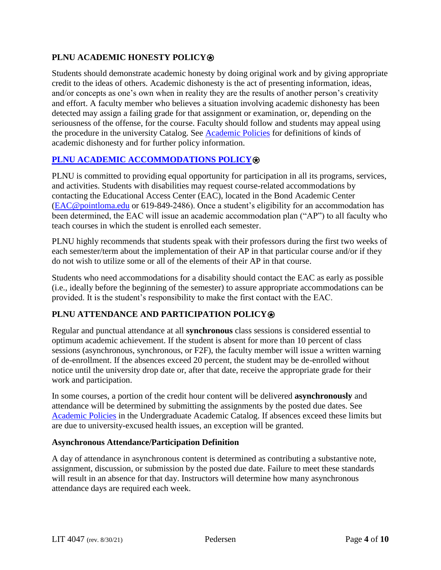# **PLNU ACADEMIC HONESTY POLICY**⍟

Students should demonstrate academic honesty by doing original work and by giving appropriate credit to the ideas of others. Academic dishonesty is the act of presenting information, ideas, and/or concepts as one's own when in reality they are the results of another person's creativity and effort. A faculty member who believes a situation involving academic dishonesty has been detected may assign a failing grade for that assignment or examination, or, depending on the seriousness of the offense, for the course. Faculty should follow and students may appeal using the procedure in the university Catalog. See [Academic Policies](https://catalog.pointloma.edu/content.php?catoid=52&navoid=2919) for definitions of kinds of academic dishonesty and for further policy information.

## **[PLNU ACADEMIC ACCOMMODATIONS POLICY](https://catalog.pointloma.edu/content.php?catoid=52&navoid=2919#Academic_Accommodations)®**

PLNU is committed to providing equal opportunity for participation in all its programs, services, and activities. Students with disabilities may request course-related accommodations by contacting the Educational Access Center (EAC), located in the Bond Academic Center [\(EAC@pointloma.edu](mailto:EAC@pointloma.edu) or 619-849-2486). Once a student's eligibility for an accommodation has been determined, the EAC will issue an academic accommodation plan ("AP") to all faculty who teach courses in which the student is enrolled each semester.

PLNU highly recommends that students speak with their professors during the first two weeks of each semester/term about the implementation of their AP in that particular course and/or if they do not wish to utilize some or all of the elements of their AP in that course.

Students who need accommodations for a disability should contact the EAC as early as possible (i.e., ideally before the beginning of the semester) to assure appropriate accommodations can be provided. It is the student's responsibility to make the first contact with the EAC.

## **PLNU ATTENDANCE AND PARTICIPATION POLICY**⍟

Regular and punctual attendance at all **synchronous** class sessions is considered essential to optimum academic achievement. If the student is absent for more than 10 percent of class sessions (asynchronous, synchronous, or F2F), the faculty member will issue a written warning of de-enrollment. If the absences exceed 20 percent, the student may be de-enrolled without notice until the university drop date or, after that date, receive the appropriate grade for their work and participation.

In some courses, a portion of the credit hour content will be delivered **asynchronously** and attendance will be determined by submitting the assignments by the posted due dates. See [Academic](https://catalog.pointloma.edu/content.php?catoid=52&navoid=2919#Class_Attendance) Policies in the Undergraduate Academic Catalog. If absences exceed these limits but are due to university-excused health issues, an exception will be granted.

#### **Asynchronous Attendance/Participation Definition**

A day of attendance in asynchronous content is determined as contributing a substantive note, assignment, discussion, or submission by the posted due date. Failure to meet these standards will result in an absence for that day. Instructors will determine how many asynchronous attendance days are required each week.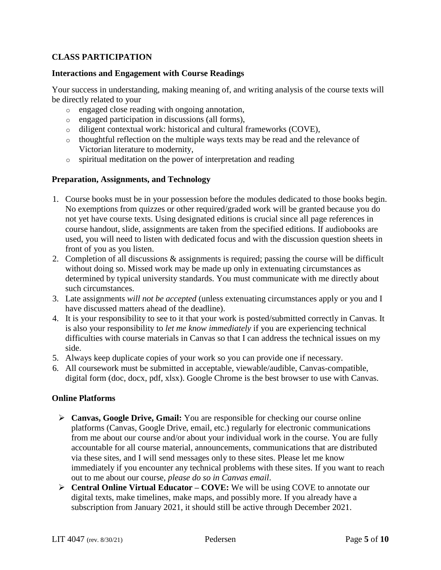## **CLASS PARTICIPATION**

### **Interactions and Engagement with Course Readings**

Your success in understanding, making meaning of, and writing analysis of the course texts will be directly related to your

- o engaged close reading with ongoing annotation,
- o engaged participation in discussions (all forms),
- o diligent contextual work: historical and cultural frameworks (COVE),
- o thoughtful reflection on the multiple ways texts may be read and the relevance of Victorian literature to modernity,
- o spiritual meditation on the power of interpretation and reading

### **Preparation, Assignments, and Technology**

- 1. Course books must be in your possession before the modules dedicated to those books begin. No exemptions from quizzes or other required/graded work will be granted because you do not yet have course texts. Using designated editions is crucial since all page references in course handout, slide, assignments are taken from the specified editions. If audiobooks are used, you will need to listen with dedicated focus and with the discussion question sheets in front of you as you listen.
- 2. Completion of all discussions & assignments is required; passing the course will be difficult without doing so. Missed work may be made up only in extenuating circumstances as determined by typical university standards. You must communicate with me directly about such circumstances.
- 3. Late assignments *will not be accepted* (unless extenuating circumstances apply or you and I have discussed matters ahead of the deadline).
- 4. It is your responsibility to see to it that your work is posted/submitted correctly in Canvas. It is also your responsibility to *let me know immediately* if you are experiencing technical difficulties with course materials in Canvas so that I can address the technical issues on my side.
- 5. Always keep duplicate copies of your work so you can provide one if necessary.
- 6. All coursework must be submitted in acceptable, viewable/audible, Canvas-compatible, digital form (doc, docx, pdf, xlsx). Google Chrome is the best browser to use with Canvas.

#### **Online Platforms**

- **Canvas, Google Drive, Gmail:** You are responsible for checking our course online platforms (Canvas, Google Drive, email, etc.) regularly for electronic communications from me about our course and/or about your individual work in the course. You are fully accountable for all course material, announcements, communications that are distributed via these sites, and I will send messages only to these sites. Please let me know immediately if you encounter any technical problems with these sites. If you want to reach out to me about our course, *please do so in Canvas email*.
- **Central Online Virtual Educator – COVE:** We will be using COVE to annotate our digital texts, make timelines, make maps, and possibly more. If you already have a subscription from January 2021, it should still be active through December 2021.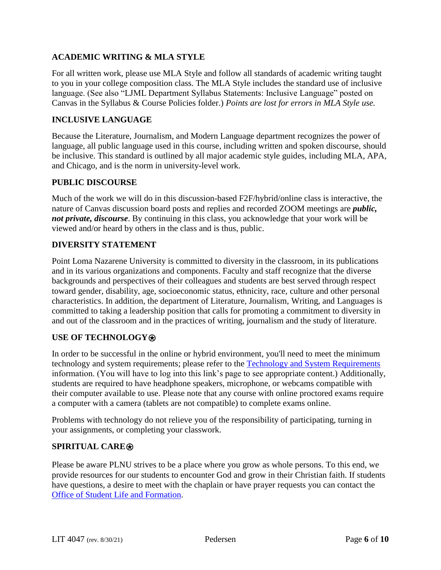## **ACADEMIC WRITING & MLA STYLE**

For all written work, please use MLA Style and follow all standards of academic writing taught to you in your college composition class. The MLA Style includes the standard use of inclusive language. (See also "LJML Department Syllabus Statements: Inclusive Language" posted on Canvas in the Syllabus & Course Policies folder.) *Points are lost for errors in MLA Style use.*

## **INCLUSIVE LANGUAGE**

Because the Literature, Journalism, and Modern Language department recognizes the power of language, all public language used in this course, including written and spoken discourse, should be inclusive. This standard is outlined by all major academic style guides, including MLA, APA, and Chicago, and is the norm in university-level work.

## **PUBLIC DISCOURSE**

Much of the work we will do in this discussion-based F2F/hybrid/online class is interactive, the nature of Canvas discussion board posts and replies and recorded ZOOM meetings are *public, not private, discourse*. By continuing in this class, you acknowledge that your work will be viewed and/or heard by others in the class and is thus, public.

### **DIVERSITY STATEMENT**

Point Loma Nazarene University is committed to diversity in the classroom, in its publications and in its various organizations and components. Faculty and staff recognize that the diverse backgrounds and perspectives of their colleagues and students are best served through respect toward gender, disability, age, socioeconomic status, ethnicity, race, culture and other personal characteristics. In addition, the department of Literature, Journalism, Writing, and Languages is committed to taking a leadership position that calls for promoting a commitment to diversity in and out of the classroom and in the practices of writing, journalism and the study of literature.

## **USE OF TECHNOLOGY**⍟

In order to be successful in the online or hybrid environment, you'll need to meet the minimum technology and system requirements; please refer to the [Technology and System Requirements](https://help.pointloma.edu/TDClient/1808/Portal/KB/ArticleDet?ID=108349) information. (You will have to log into this link's page to see appropriate content.) Additionally, students are required to have headphone speakers, microphone, or webcams compatible with their computer available to use. Please note that any course with online proctored exams require a computer with a camera (tablets are not compatible) to complete exams online.

Problems with technology do not relieve you of the responsibility of participating, turning in your assignments, or completing your classwork.

#### **SPIRITUAL CARE**⍟

Please be aware PLNU strives to be a place where you grow as whole persons. To this end, we provide resources for our students to encounter God and grow in their Christian faith. If students have questions, a desire to meet with the chaplain or have prayer requests you can contact the Office of Student Life and [Formation.](https://www.pointloma.edu/offices/student-life-formation)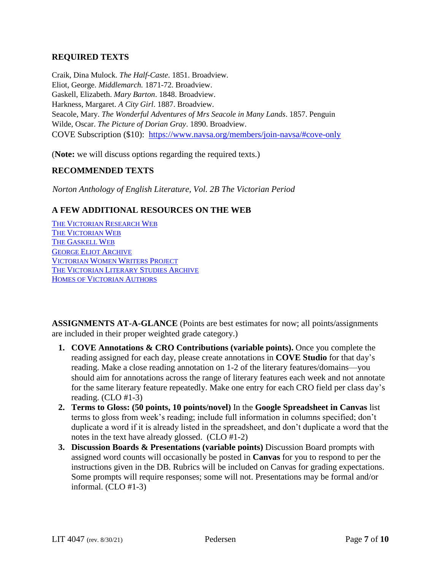## **REQUIRED TEXTS**

Craik, Dina Mulock. *The Half-Caste*. 1851. Broadview. Eliot, George. *Middlemarch.* 1871-72. Broadview. Gaskell, Elizabeth. *Mary Barton*. 1848. Broadview. Harkness, Margaret. *A City Girl*. 1887. Broadview. Seacole, Mary. *The Wonderful Adventures of Mrs Seacole in Many Lands*. 1857. Penguin Wilde, Oscar. *The Picture of Dorian Gray*. 1890. Broadview. COVE Subscription (\$10): <https://www.navsa.org/members/join-navsa/#cove-only>

(**Note:** we will discuss options regarding the required texts.)

### **RECOMMENDED TEXTS**

*Norton Anthology of English Literature, Vol. 2B The Victorian Period*

### **A FEW ADDITIONAL RESOURCES ON THE WEB**

THE V[ICTORIAN](http://victorianresearch.org/) RESEARCH WEB THE V[ICTORIAN](https://victorianweb.org/) WEB THE G[ASKELL](http://victorian-studies.net/Gaskell.html) WEB GEORGE ELIOT A[RCHIVE](https://georgeeliotarchive.org/) V[ICTORIAN](https://webapp1.dlib.indiana.edu/vwwp/welcome.do) WOMEN WRITERS PROJECT THE V[ICTORIAN](http://victorian-studies.net/) LITERARY STUDIES ARCHIVE HOMES OF V[ICTORIAN](https://archaeology-travel.com/england/historic-writers-houses-england/) AUTHORS

**ASSIGNMENTS AT-A-GLANCE** (Points are best estimates for now; all points/assignments are included in their proper weighted grade category.)

- **1. COVE Annotations & CRO Contributions (variable points).** Once you complete the reading assigned for each day, please create annotations in **COVE Studio** for that day's reading. Make a close reading annotation on 1-2 of the literary features/domains—you should aim for annotations across the range of literary features each week and not annotate for the same literary feature repeatedly. Make one entry for each CRO field per class day's reading. (CLO #1-3)
- **2. Terms to Gloss: (50 points, 10 points/novel)** In the **Google Spreadsheet in Canvas** list terms to gloss from week's reading; include full information in columns specified; don't duplicate a word if it is already listed in the spreadsheet, and don't duplicate a word that the notes in the text have already glossed. (CLO #1-2)
- **3. Discussion Boards & Presentations (variable points)** Discussion Board prompts with assigned word counts will occasionally be posted in **Canvas** for you to respond to per the instructions given in the DB. Rubrics will be included on Canvas for grading expectations. Some prompts will require responses; some will not. Presentations may be formal and/or informal. (CLO #1-3)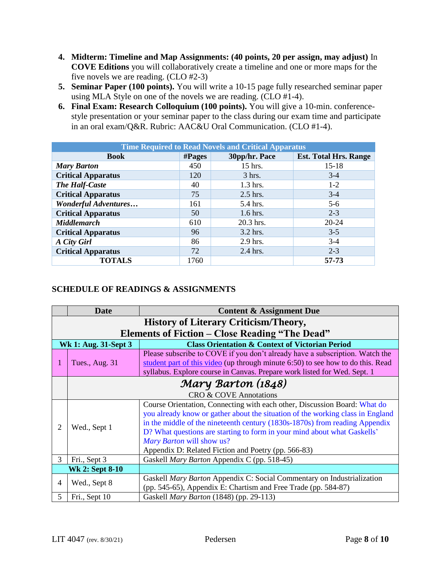- **4. Midterm: Timeline and Map Assignments: (40 points, 20 per assign, may adjust)** In **COVE Editions** you will collaboratively create a timeline and one or more maps for the five novels we are reading. (CLO #2-3)
- **5. Seminar Paper (100 points).** You will write a 10-15 page fully researched seminar paper using MLA Style on one of the novels we are reading. (CLO #1-4).
- **6. Final Exam: Research Colloquium (100 points).** You will give a 10-min. conferencestyle presentation or your seminar paper to the class during our exam time and participate in an oral exam/Q&R. Rubric: AAC&U Oral Communication. (CLO #1-4).

| <b>Time Required to Read Novels and Critical Apparatus</b> |         |               |                              |
|------------------------------------------------------------|---------|---------------|------------------------------|
| <b>Book</b>                                                | # Pages | 30pp/hr. Pace | <b>Est. Total Hrs. Range</b> |
| <b>Mary Barton</b>                                         | 450     | 15 hrs.       | $15-18$                      |
| <b>Critical Apparatus</b>                                  | 120     | $3$ hrs.      | $3-4$                        |
| The Half-Caste                                             | 40      | 1.3 hrs.      | $1 - 2$                      |
| <b>Critical Apparatus</b>                                  | 75      | $2.5$ hrs.    | $3-4$                        |
| <b>Wonderful Adventures</b>                                | 161     | 5.4 hrs.      | $5 - 6$                      |
| <b>Critical Apparatus</b>                                  | 50      | $1.6$ hrs.    | $2 - 3$                      |
| <b>Middlemarch</b>                                         | 610     | 20.3 hrs.     | 20-24                        |
| <b>Critical Apparatus</b>                                  | 96      | $3.2$ hrs.    | $3 - 5$                      |
| A City Girl                                                | 86      | 2.9 hrs.      | $3-4$                        |
| <b>Critical Apparatus</b>                                  | 72      | 2.4 hrs.      | $2 - 3$                      |
| <b>TOTALS</b>                                              | 1760    |               | 57-73                        |

# **SCHEDULE OF READINGS & ASSIGNMENTS**

|   | <b>Date</b>                                           | <b>Content &amp; Assignment Due</b>                                                                                                                                                                                                                                                                                                                                                                        |  |
|---|-------------------------------------------------------|------------------------------------------------------------------------------------------------------------------------------------------------------------------------------------------------------------------------------------------------------------------------------------------------------------------------------------------------------------------------------------------------------------|--|
|   | <b>History of Literary Criticism/Theory,</b>          |                                                                                                                                                                                                                                                                                                                                                                                                            |  |
|   | <b>Elements of Fiction – Close Reading "The Dead"</b> |                                                                                                                                                                                                                                                                                                                                                                                                            |  |
|   | Wk 1: Aug. 31-Sept 3                                  | <b>Class Orientation &amp; Context of Victorian Period</b>                                                                                                                                                                                                                                                                                                                                                 |  |
| 1 | Tues., Aug. 31                                        | Please subscribe to COVE if you don't already have a subscription. Watch the<br>student part of this video (up through minute 6:50) to see how to do this. Read<br>syllabus. Explore course in Canvas. Prepare work listed for Wed. Sept. 1                                                                                                                                                                |  |
|   | Mary Barton (1848)                                    |                                                                                                                                                                                                                                                                                                                                                                                                            |  |
|   | <b>CRO &amp; COVE Annotations</b>                     |                                                                                                                                                                                                                                                                                                                                                                                                            |  |
| 2 | Wed., Sept 1                                          | Course Orientation, Connecting with each other, Discussion Board: What do<br>you already know or gather about the situation of the working class in England<br>in the middle of the nineteenth century (1830s-1870s) from reading Appendix<br>D? What questions are starting to form in your mind about what Gaskells'<br>Mary Barton will show us?<br>Appendix D: Related Fiction and Poetry (pp. 566-83) |  |
| 3 | Fri., Sept 3                                          | Gaskell Mary Barton Appendix C (pp. 518-45)                                                                                                                                                                                                                                                                                                                                                                |  |
|   | <b>Wk 2: Sept 8-10</b>                                |                                                                                                                                                                                                                                                                                                                                                                                                            |  |
| 4 | Wed., Sept 8                                          | Gaskell Mary Barton Appendix C: Social Commentary on Industrialization<br>(pp. 545-65), Appendix E: Chartism and Free Trade (pp. 584-87)                                                                                                                                                                                                                                                                   |  |
| 5 | Fri., Sept 10                                         | Gaskell <i>Mary Barton</i> (1848) (pp. 29-113)                                                                                                                                                                                                                                                                                                                                                             |  |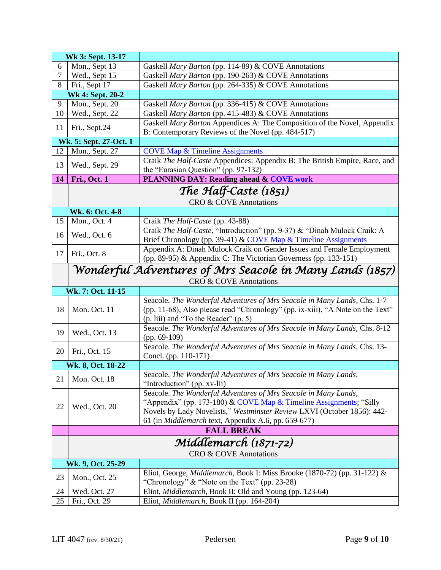|                | Wk 3: Sept. 13-17                                               |                                                                                                          |  |  |
|----------------|-----------------------------------------------------------------|----------------------------------------------------------------------------------------------------------|--|--|
| 6              | Mon., Sept 13                                                   | Gaskell Mary Barton (pp. 114-89) & COVE Annotations                                                      |  |  |
| $\overline{7}$ | Wed., Sept 15                                                   | Gaskell Mary Barton (pp. 190-263) & COVE Annotations                                                     |  |  |
| 8              | Fri., Sept 17                                                   | Gaskell Mary Barton (pp. 264-335) & COVE Annotations                                                     |  |  |
|                | Wk 4: Sept. 20-2                                                |                                                                                                          |  |  |
| 9              | Mon., Sept. 20                                                  | Gaskell Mary Barton (pp. 336-415) & COVE Annotations                                                     |  |  |
| 10             | Wed., Sept. 22                                                  | Gaskell Mary Barton (pp. 415-483) & COVE Annotations                                                     |  |  |
|                |                                                                 | Gaskell Mary Barton Appendices A: The Composition of the Novel, Appendix                                 |  |  |
| 11             | Fri., Sept.24                                                   | B: Contemporary Reviews of the Novel (pp. 484-517)                                                       |  |  |
|                | Wk. 5: Sept. 27-Oct. 1                                          |                                                                                                          |  |  |
| 12             | Mon., Sept. 27                                                  | <b>COVE Map &amp; Timeline Assignments</b>                                                               |  |  |
|                |                                                                 | Craik The Half-Caste Appendices: Appendix B: The British Empire, Race, and                               |  |  |
| 13             | Wed., Sept. 29                                                  | the "Eurasian Question" (pp. 97-132)                                                                     |  |  |
| 14             | <b>Fri., Oct. 1</b>                                             | <b>PLANNING DAY: Reading ahead &amp; COVE work</b>                                                       |  |  |
|                |                                                                 | The Half-Caste (1851)                                                                                    |  |  |
|                |                                                                 | <b>CRO &amp; COVE Annotations</b>                                                                        |  |  |
|                | Wk. 6: Oct. 4-8                                                 |                                                                                                          |  |  |
| 15             | Mon., Oct. 4                                                    | Craik The Half-Caste (pp. 43-88)                                                                         |  |  |
|                |                                                                 | Craik The Half-Caste, "Introduction" (pp. 9-37) & "Dinah Mulock Craik: A                                 |  |  |
| 16             | Wed., Oct. 6                                                    | Brief Chronology (pp. 39-41) & COVE Map & Timeline Assignments                                           |  |  |
|                |                                                                 | Appendix A: Dinah Mulock Craik on Gender Issues and Female Employment                                    |  |  |
| 17             | Fri., Oct. 8                                                    |                                                                                                          |  |  |
|                | (pp. 89-95) & Appendix C: The Victorian Governess (pp. 133-151) |                                                                                                          |  |  |
|                | Wonderful Adventures of Mrs Seacole in Many Lands (1857)        |                                                                                                          |  |  |
|                |                                                                 | <b>CRO &amp; COVE Annotations</b>                                                                        |  |  |
|                | Wk. 7: Oct. 11-15                                               |                                                                                                          |  |  |
|                |                                                                 | Seacole. The Wonderful Adventures of Mrs Seacole in Many Lands, Chs. 1-7                                 |  |  |
| 18             | Mon. Oct. 11                                                    | (pp. 11-68), Also please read "Chronology" (pp. ix-xiii), "A Note on the Text"                           |  |  |
|                |                                                                 | (p. liii) and "To the Reader" (p. 5)                                                                     |  |  |
| 19             | Wed., Oct. 13                                                   | Seacole. The Wonderful Adventures of Mrs Seacole in Many Lands, Chs. 8-12                                |  |  |
|                |                                                                 | (pp. $69-109$ )                                                                                          |  |  |
| 20             | Fri., Oct. 15                                                   | Seacole. The Wonderful Adventures of Mrs Seacole in Many Lands, Chs. 13-                                 |  |  |
|                |                                                                 | Concl. (pp. 110-171)                                                                                     |  |  |
|                | Wk. 8, Oct. 18-22                                               |                                                                                                          |  |  |
| 21             | Mon. Oct. 18                                                    | Seacole. The Wonderful Adventures of Mrs Seacole in Many Lands,                                          |  |  |
|                |                                                                 | "Introduction" (pp. xv-lii)                                                                              |  |  |
|                |                                                                 | Seacole. The Wonderful Adventures of Mrs Seacole in Many Lands,                                          |  |  |
| 22             | Wed., Oct. 20                                                   | "Appendix" (pp. 173-180) & COVE Map & Timeline Assignments; "Silly                                       |  |  |
|                |                                                                 | Novels by Lady Novelists," Westminster Review LXVI (October 1856): 442-                                  |  |  |
|                |                                                                 | 61 (in Middlemarch text, Appendix A.6, pp. 659-677)                                                      |  |  |
|                |                                                                 | <b>FALL BREAK</b>                                                                                        |  |  |
|                |                                                                 | Míddlemarch (1871-72)                                                                                    |  |  |
|                | <b>CRO &amp; COVE Annotations</b>                               |                                                                                                          |  |  |
|                |                                                                 |                                                                                                          |  |  |
|                |                                                                 |                                                                                                          |  |  |
|                | Wk. 9, Oct. 25-29                                               |                                                                                                          |  |  |
| 23             | Mon., Oct. 25                                                   | Eliot, George, <i>Middlemarch</i> , Book I: Miss Brooke (1870-72) (pp. 31-122) &                         |  |  |
| 24             | Wed. Oct. 27                                                    | "Chronology" & "Note on the Text" (pp. 23-28)<br>Eliot, Middlemarch, Book II: Old and Young (pp. 123-64) |  |  |